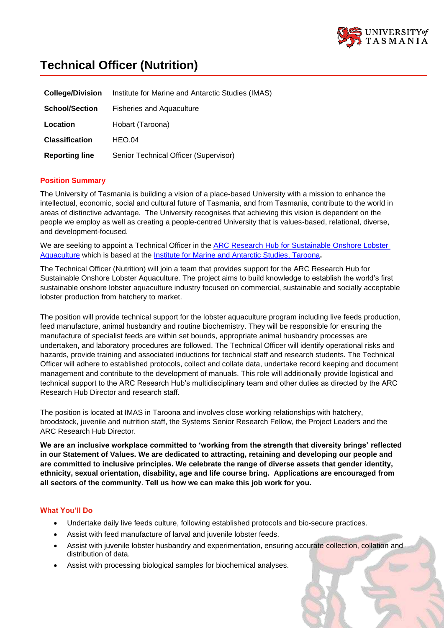

# **Technical Officer (Nutrition)**

| <b>College/Division</b> | Institute for Marine and Antarctic Studies (IMAS) |
|-------------------------|---------------------------------------------------|
| <b>School/Section</b>   | <b>Fisheries and Aquaculture</b>                  |
| Location                | Hobart (Taroona)                                  |
| <b>Classification</b>   | HEO.04                                            |
| <b>Reporting line</b>   | Senior Technical Officer (Supervisor)             |

## **Position Summary**

The University of Tasmania is building a vision of a place-based University with a mission to enhance the intellectual, economic, social and cultural future of Tasmania, and from Tasmania, contribute to the world in areas of distinctive advantage. The University recognises that achieving this vision is dependent on the people we employ as well as creating a people-centred University that is values-based, relational, diverse, and development-focused.

We are seeking to appoint a Technical Officer in the **ARC Research Hub for Sustainable Onshore Lobster** [Aquaculture](http://imas.utas.edu.au/research/arc-research-hub-for-sustainable-onshore-lobster-aquaculture) which is based at the [Institute for Marine and Antarctic Studies,](http://www.imas.utas.edu.au/) Taroona**.**

The Technical Officer (Nutrition) will join a team that provides support for the ARC Research Hub for Sustainable Onshore Lobster Aquaculture. The project aims to build knowledge to establish the world's first sustainable onshore lobster aquaculture industry focused on commercial, sustainable and socially acceptable lobster production from hatchery to market.

The position will provide technical support for the lobster aquaculture program including live feeds production, feed manufacture, animal husbandry and routine biochemistry. They will be responsible for ensuring the manufacture of specialist feeds are within set bounds, appropriate animal husbandry processes are undertaken, and laboratory procedures are followed. The Technical Officer will identify operational risks and hazards, provide training and associated inductions for technical staff and research students. The Technical Officer will adhere to established protocols, collect and collate data, undertake record keeping and document management and contribute to the development of manuals. This role will additionally provide logistical and technical support to the ARC Research Hub's multidisciplinary team and other duties as directed by the ARC Research Hub Director and research staff.

The position is located at IMAS in Taroona and involves close working relationships with hatchery, broodstock, juvenile and nutrition staff, the Systems Senior Research Fellow, the Project Leaders and the ARC Research Hub Director.

**We are an inclusive workplace committed to 'working from the strength that diversity brings' reflected in our Statement of Values. We are dedicated to attracting, retaining and developing our people and are committed to inclusive principles. We celebrate the range of diverse assets that gender identity, ethnicity, sexual orientation, disability, age and life course bring. Applications are encouraged from all sectors of the community**. **Tell us how we can make this job work for you.**

## **What You'll Do**

- Undertake daily live feeds culture, following established protocols and bio-secure practices.
- Assist with feed manufacture of larval and juvenile lobster feeds.
- Assist with juvenile lobster husbandry and experimentation, ensuring accurate collection, collation and distribution of data.
- Assist with processing biological samples for biochemical analyses.